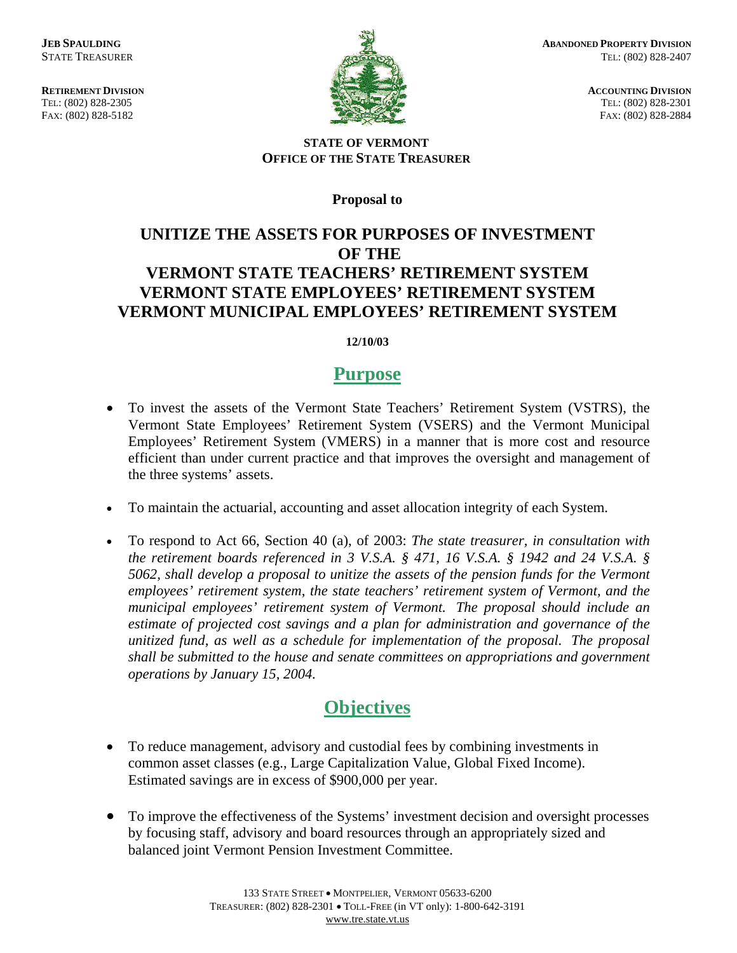TEL: (802) 828-2305 TEL: (802) 828-2305 FAX: (802) 828-5182 FAX: (802) 828-2884



**RETIREMENT DIVISION** ACCOUNTING DIVISION

#### **STATE OF VERMONT OFFICE OF THE STATE TREASURER**

**Proposal to** 

## **UNITIZE THE ASSETS FOR PURPOSES OF INVESTMENT OF THE VERMONT STATE TEACHERS' RETIREMENT SYSTEM VERMONT STATE EMPLOYEES' RETIREMENT SYSTEM VERMONT MUNICIPAL EMPLOYEES' RETIREMENT SYSTEM**

#### **12/10/03**

## **Purpose**

- To invest the assets of the Vermont State Teachers' Retirement System (VSTRS), the Vermont State Employees' Retirement System (VSERS) and the Vermont Municipal Employees' Retirement System (VMERS) in a manner that is more cost and resource efficient than under current practice and that improves the oversight and management of the three systems' assets.
- To maintain the actuarial, accounting and asset allocation integrity of each System.
- To respond to Act 66, Section 40 (a), of 2003: *The state treasurer, in consultation with the retirement boards referenced in 3 V.S.A. § 471, 16 V.S.A. § 1942 and 24 V.S.A. § 5062, shall develop a proposal to unitize the assets of the pension funds for the Vermont employees' retirement system, the state teachers' retirement system of Vermont, and the municipal employees' retirement system of Vermont. The proposal should include an estimate of projected cost savings and a plan for administration and governance of the unitized fund, as well as a schedule for implementation of the proposal. The proposal shall be submitted to the house and senate committees on appropriations and government operations by January 15, 2004.*

# **Objectives**

- To reduce management, advisory and custodial fees by combining investments in common asset classes (e.g., Large Capitalization Value, Global Fixed Income). Estimated savings are in excess of \$900,000 per year.
- To improve the effectiveness of the Systems' investment decision and oversight processes by focusing staff, advisory and board resources through an appropriately sized and balanced joint Vermont Pension Investment Committee.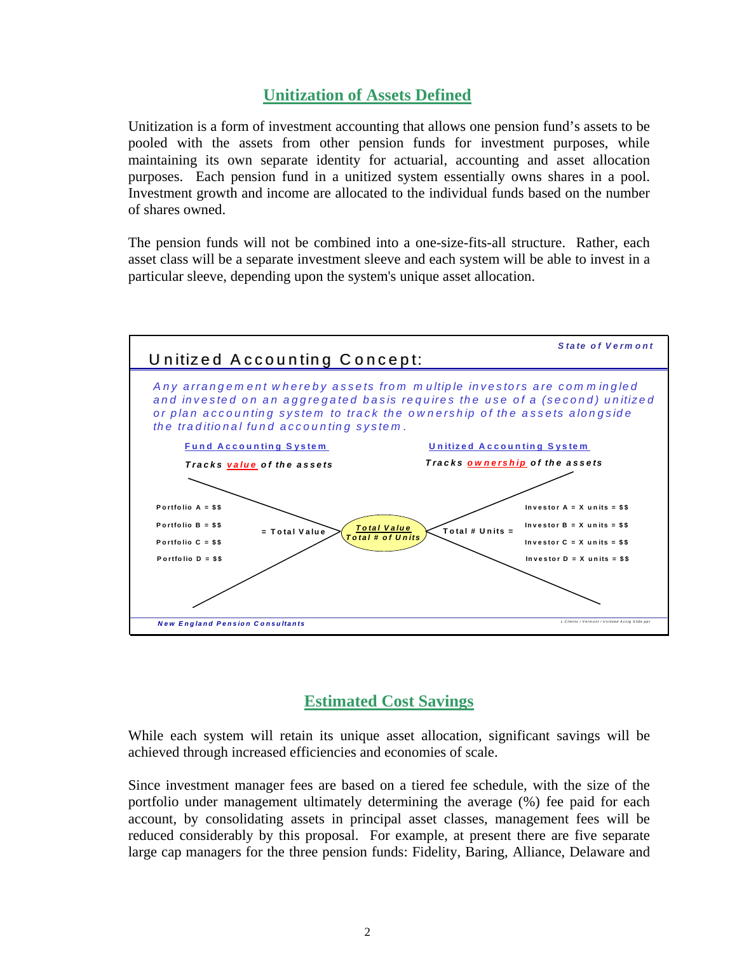### **Unitization of Assets Defined**

Unitization is a form of investment accounting that allows one pension fund's assets to be pooled with the assets from other pension funds for investment purposes, while maintaining its own separate identity for actuarial, accounting and asset allocation purposes. Each pension fund in a unitized system essentially owns shares in a pool. Investment growth and income are allocated to the individual funds based on the number of shares owned.

The pension funds will not be combined into a one-size-fits-all structure. Rather, each asset class will be a separate investment sleeve and each system will be able to invest in a particular sleeve, depending upon the system's unique asset allocation.



## **Estimated Cost Savings**

While each system will retain its unique asset allocation, significant savings will be achieved through increased efficiencies and economies of scale.

Since investment manager fees are based on a tiered fee schedule, with the size of the portfolio under management ultimately determining the average (%) fee paid for each account, by consolidating assets in principal asset classes, management fees will be reduced considerably by this proposal. For example, at present there are five separate large cap managers for the three pension funds: Fidelity, Baring, Alliance, Delaware and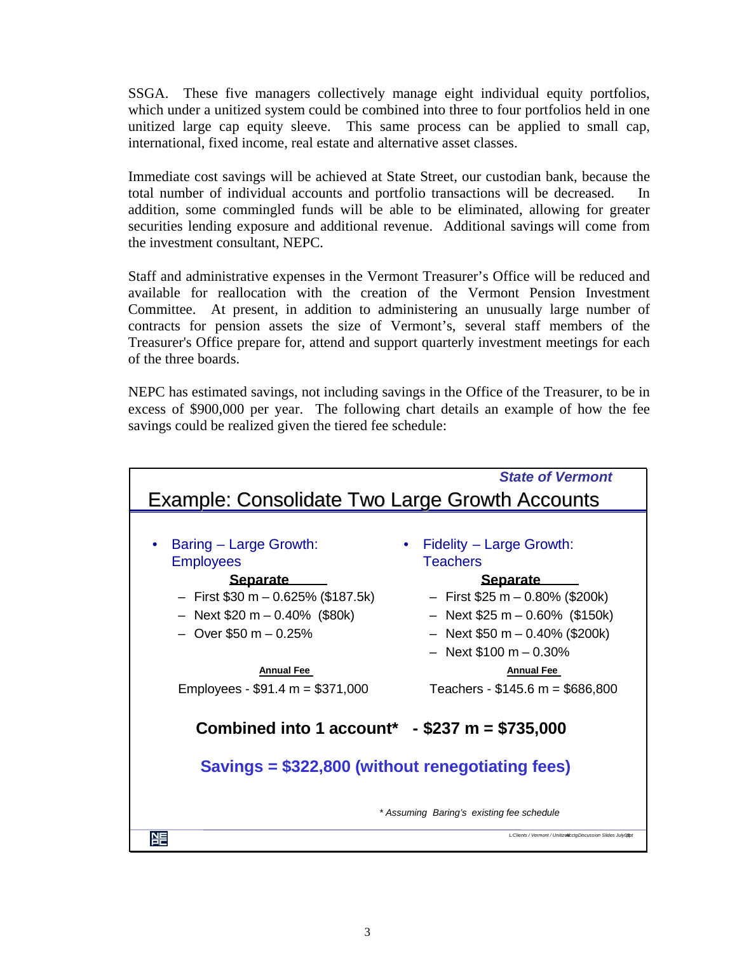SSGA. These five managers collectively manage eight individual equity portfolios, which under a unitized system could be combined into three to four portfolios held in one unitized large cap equity sleeve. This same process can be applied to small cap, international, fixed income, real estate and alternative asset classes.

Immediate cost savings will be achieved at State Street, our custodian bank, because the total number of individual accounts and portfolio transactions will be decreased. In addition, some commingled funds will be able to be eliminated, allowing for greater securities lending exposure and additional revenue. Additional savings will come from the investment consultant, NEPC.

Staff and administrative expenses in the Vermont Treasurer's Office will be reduced and available for reallocation with the creation of the Vermont Pension Investment Committee. At present, in addition to administering an unusually large number of contracts for pension assets the size of Vermont's, several staff members of the Treasurer's Office prepare for, attend and support quarterly investment meetings for each of the three boards.

NEPC has estimated savings, not including savings in the Office of the Treasurer, to be in excess of \$900,000 per year. The following chart details an example of how the fee savings could be realized given the tiered fee schedule:

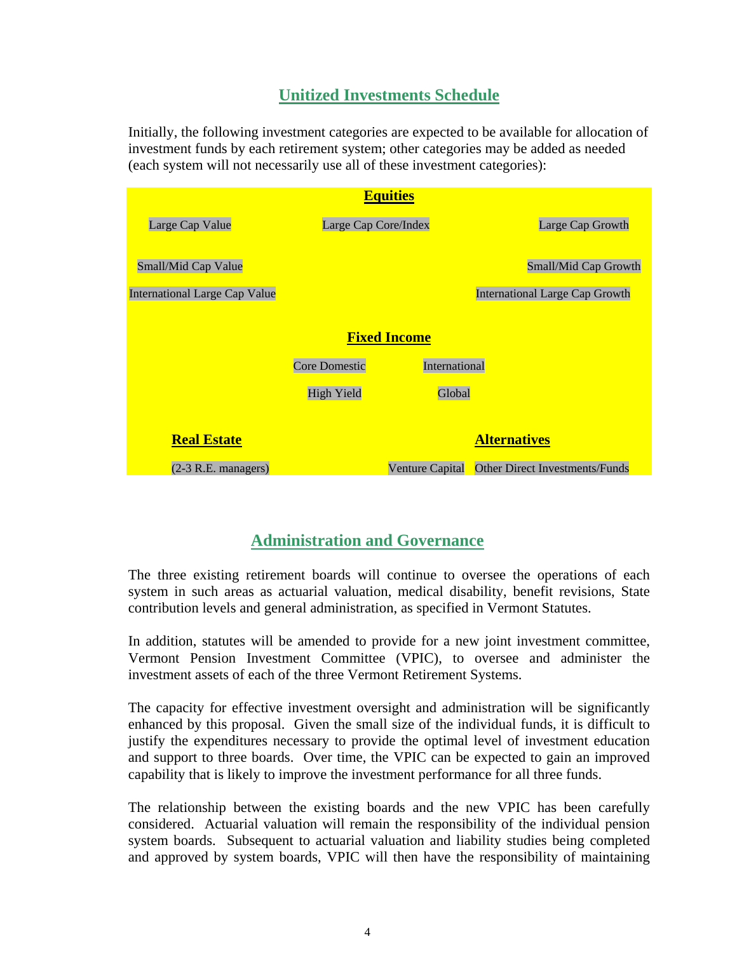### **Unitized Investments Schedule**

Initially, the following investment categories are expected to be available for allocation of investment funds by each retirement system; other categories may be added as needed (each system will not necessarily use all of these investment categories):

|                                      |                      | <b>Equities</b> |                                       |
|--------------------------------------|----------------------|-----------------|---------------------------------------|
| Large Cap Value                      | Large Cap Core/Index |                 | Large Cap Growth                      |
| Small/Mid Cap Value                  |                      |                 | Small/Mid Cap Growth                  |
| <b>International Large Cap Value</b> |                      |                 | <b>International Large Cap Growth</b> |
| <b>Fixed Income</b>                  |                      |                 |                                       |
|                                      | Core Domestic        | International   |                                       |
|                                      | <b>High Yield</b>    | Global          |                                       |
|                                      |                      |                 |                                       |
| <b>Real Estate</b>                   |                      |                 | <b>Alternatives</b>                   |
| $(2-3 R.E.$ managers)                |                      | Venture Capital | Other Direct Investments/Funds        |

## **Administration and Governance**

The three existing retirement boards will continue to oversee the operations of each system in such areas as actuarial valuation, medical disability, benefit revisions, State contribution levels and general administration, as specified in Vermont Statutes.

In addition, statutes will be amended to provide for a new joint investment committee, Vermont Pension Investment Committee (VPIC), to oversee and administer the investment assets of each of the three Vermont Retirement Systems.

The capacity for effective investment oversight and administration will be significantly enhanced by this proposal. Given the small size of the individual funds, it is difficult to justify the expenditures necessary to provide the optimal level of investment education and support to three boards. Over time, the VPIC can be expected to gain an improved capability that is likely to improve the investment performance for all three funds.

The relationship between the existing boards and the new VPIC has been carefully considered. Actuarial valuation will remain the responsibility of the individual pension system boards. Subsequent to actuarial valuation and liability studies being completed and approved by system boards, VPIC will then have the responsibility of maintaining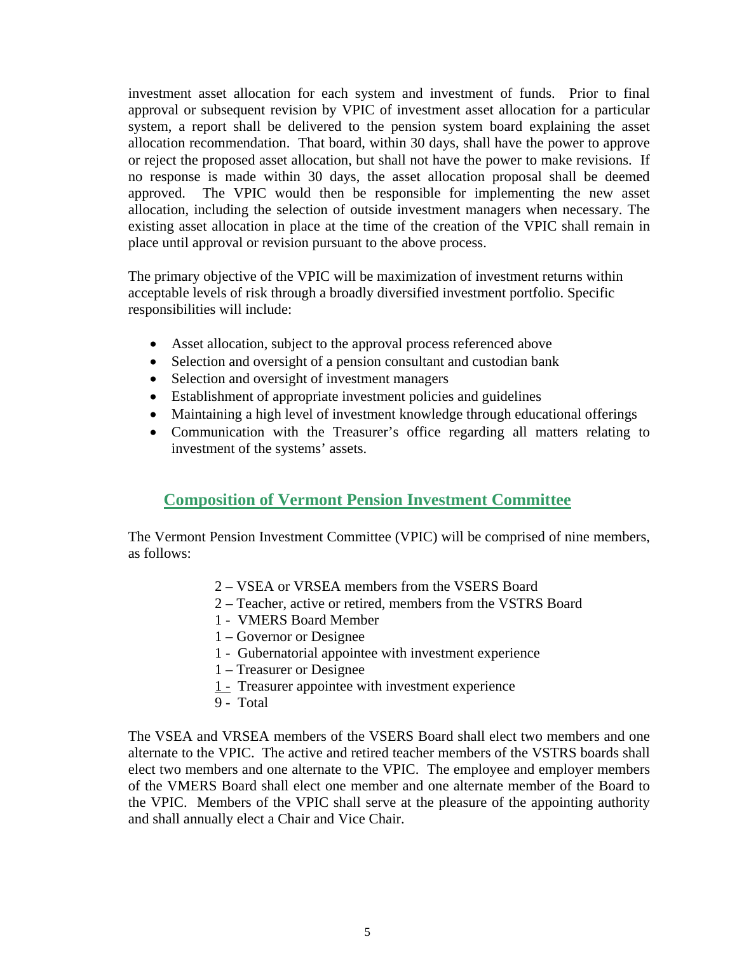investment asset allocation for each system and investment of funds. Prior to final approval or subsequent revision by VPIC of investment asset allocation for a particular system, a report shall be delivered to the pension system board explaining the asset allocation recommendation. That board, within 30 days, shall have the power to approve or reject the proposed asset allocation, but shall not have the power to make revisions. If no response is made within 30 days, the asset allocation proposal shall be deemed approved. The VPIC would then be responsible for implementing the new asset allocation, including the selection of outside investment managers when necessary. The existing asset allocation in place at the time of the creation of the VPIC shall remain in place until approval or revision pursuant to the above process.

The primary objective of the VPIC will be maximization of investment returns within acceptable levels of risk through a broadly diversified investment portfolio. Specific responsibilities will include:

- Asset allocation, subject to the approval process referenced above
- Selection and oversight of a pension consultant and custodian bank
- Selection and oversight of investment managers
- Establishment of appropriate investment policies and guidelines
- Maintaining a high level of investment knowledge through educational offerings
- Communication with the Treasurer's office regarding all matters relating to investment of the systems' assets.

### **Composition of Vermont Pension Investment Committee**

The Vermont Pension Investment Committee (VPIC) will be comprised of nine members, as follows:

- 2 VSEA or VRSEA members from the VSERS Board
- 2 Teacher, active or retired, members from the VSTRS Board
- 1 VMERS Board Member
- 1 Governor or Designee
- 1 Gubernatorial appointee with investment experience
- 1 Treasurer or Designee
- 1 Treasurer appointee with investment experience
- 9 Total

The VSEA and VRSEA members of the VSERS Board shall elect two members and one alternate to the VPIC. The active and retired teacher members of the VSTRS boards shall elect two members and one alternate to the VPIC. The employee and employer members of the VMERS Board shall elect one member and one alternate member of the Board to the VPIC. Members of the VPIC shall serve at the pleasure of the appointing authority and shall annually elect a Chair and Vice Chair.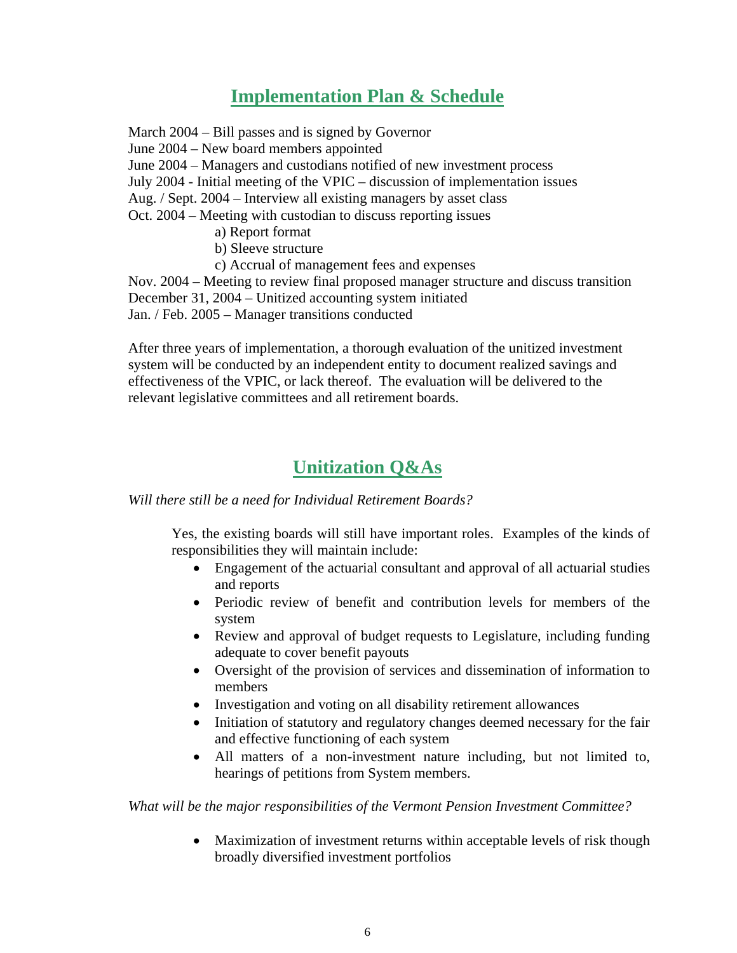# **Implementation Plan & Schedule**

March 2004 – Bill passes and is signed by Governor June 2004 – New board members appointed June 2004 – Managers and custodians notified of new investment process July 2004 - Initial meeting of the VPIC – discussion of implementation issues Aug. / Sept. 2004 – Interview all existing managers by asset class Oct. 2004 – Meeting with custodian to discuss reporting issues a) Report format b) Sleeve structure c) Accrual of management fees and expenses Nov. 2004 – Meeting to review final proposed manager structure and discuss transition December 31, 2004 – Unitized accounting system initiated Jan. / Feb. 2005 – Manager transitions conducted

After three years of implementation, a thorough evaluation of the unitized investment system will be conducted by an independent entity to document realized savings and effectiveness of the VPIC, or lack thereof. The evaluation will be delivered to the relevant legislative committees and all retirement boards.

# **Unitization Q&As**

*Will there still be a need for Individual Retirement Boards?* 

Yes, the existing boards will still have important roles. Examples of the kinds of responsibilities they will maintain include:

- Engagement of the actuarial consultant and approval of all actuarial studies and reports
- Periodic review of benefit and contribution levels for members of the system
- Review and approval of budget requests to Legislature, including funding adequate to cover benefit payouts
- Oversight of the provision of services and dissemination of information to members
- Investigation and voting on all disability retirement allowances
- Initiation of statutory and regulatory changes deemed necessary for the fair and effective functioning of each system
- All matters of a non-investment nature including, but not limited to, hearings of petitions from System members.

*What will be the major responsibilities of the Vermont Pension Investment Committee?* 

• Maximization of investment returns within acceptable levels of risk though broadly diversified investment portfolios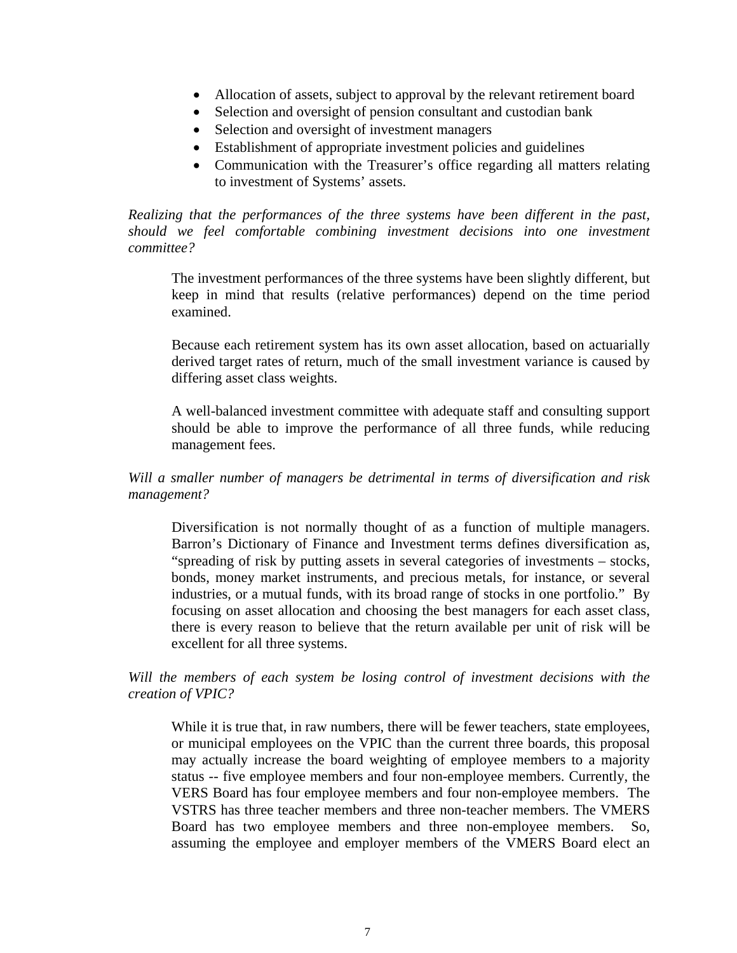- Allocation of assets, subject to approval by the relevant retirement board
- Selection and oversight of pension consultant and custodian bank
- Selection and oversight of investment managers
- Establishment of appropriate investment policies and guidelines
- Communication with the Treasurer's office regarding all matters relating to investment of Systems' assets.

*Realizing that the performances of the three systems have been different in the past, should we feel comfortable combining investment decisions into one investment committee?* 

The investment performances of the three systems have been slightly different, but keep in mind that results (relative performances) depend on the time period examined.

Because each retirement system has its own asset allocation, based on actuarially derived target rates of return, much of the small investment variance is caused by differing asset class weights.

A well-balanced investment committee with adequate staff and consulting support should be able to improve the performance of all three funds, while reducing management fees.

*Will a smaller number of managers be detrimental in terms of diversification and risk management?* 

Diversification is not normally thought of as a function of multiple managers. Barron's Dictionary of Finance and Investment terms defines diversification as, "spreading of risk by putting assets in several categories of investments – stocks, bonds, money market instruments, and precious metals, for instance, or several industries, or a mutual funds, with its broad range of stocks in one portfolio." By focusing on asset allocation and choosing the best managers for each asset class, there is every reason to believe that the return available per unit of risk will be excellent for all three systems.

*Will the members of each system be losing control of investment decisions with the creation of VPIC?* 

While it is true that, in raw numbers, there will be fewer teachers, state employees, or municipal employees on the VPIC than the current three boards, this proposal may actually increase the board weighting of employee members to a majority status -- five employee members and four non-employee members. Currently, the VERS Board has four employee members and four non-employee members. The VSTRS has three teacher members and three non-teacher members. The VMERS Board has two employee members and three non-employee members. So, assuming the employee and employer members of the VMERS Board elect an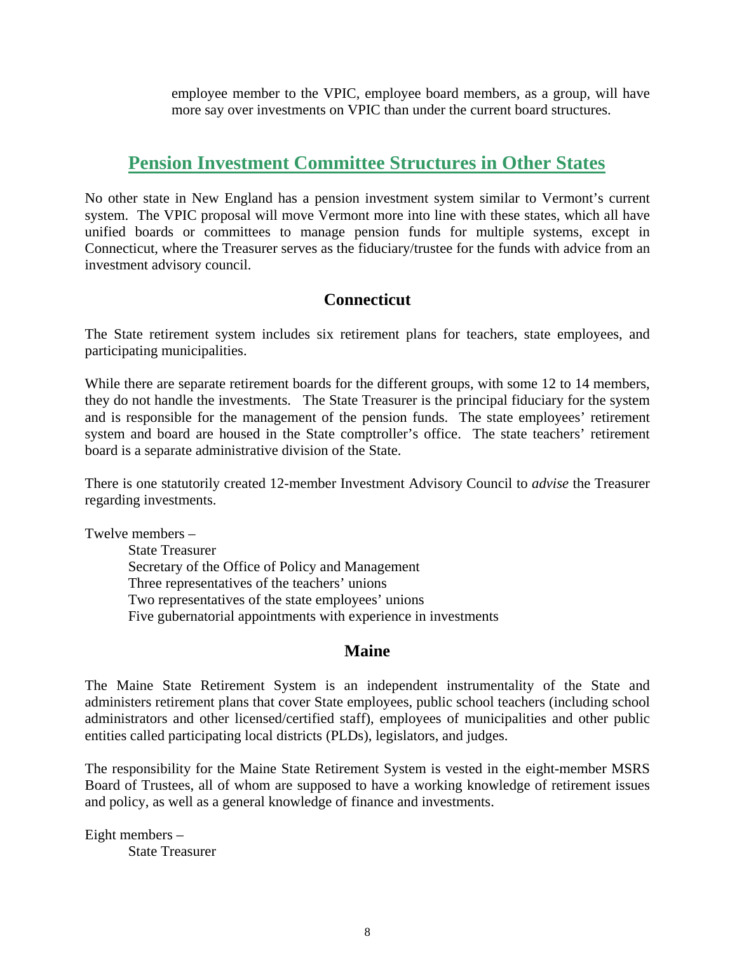employee member to the VPIC, employee board members, as a group, will have more say over investments on VPIC than under the current board structures.

# **Pension Investment Committee Structures in Other States**

No other state in New England has a pension investment system similar to Vermont's current system. The VPIC proposal will move Vermont more into line with these states, which all have unified boards or committees to manage pension funds for multiple systems, except in Connecticut, where the Treasurer serves as the fiduciary/trustee for the funds with advice from an investment advisory council.

## **Connecticut**

The State retirement system includes six retirement plans for teachers, state employees, and participating municipalities.

While there are separate retirement boards for the different groups, with some 12 to 14 members, they do not handle the investments. The State Treasurer is the principal fiduciary for the system and is responsible for the management of the pension funds. The state employees' retirement system and board are housed in the State comptroller's office. The state teachers' retirement board is a separate administrative division of the State.

There is one statutorily created 12-member Investment Advisory Council to *advise* the Treasurer regarding investments.

Twelve members –

State Treasurer Secretary of the Office of Policy and Management Three representatives of the teachers' unions Two representatives of the state employees' unions Five gubernatorial appointments with experience in investments

### **Maine**

The Maine State Retirement System is an independent instrumentality of the State and administers retirement plans that cover State employees, public school teachers (including school administrators and other licensed/certified staff), employees of municipalities and other public entities called participating local districts (PLDs), legislators, and judges.

The responsibility for the Maine State Retirement System is vested in the eight-member MSRS Board of Trustees, all of whom are supposed to have a working knowledge of retirement issues and policy, as well as a general knowledge of finance and investments.

Eight members – State Treasurer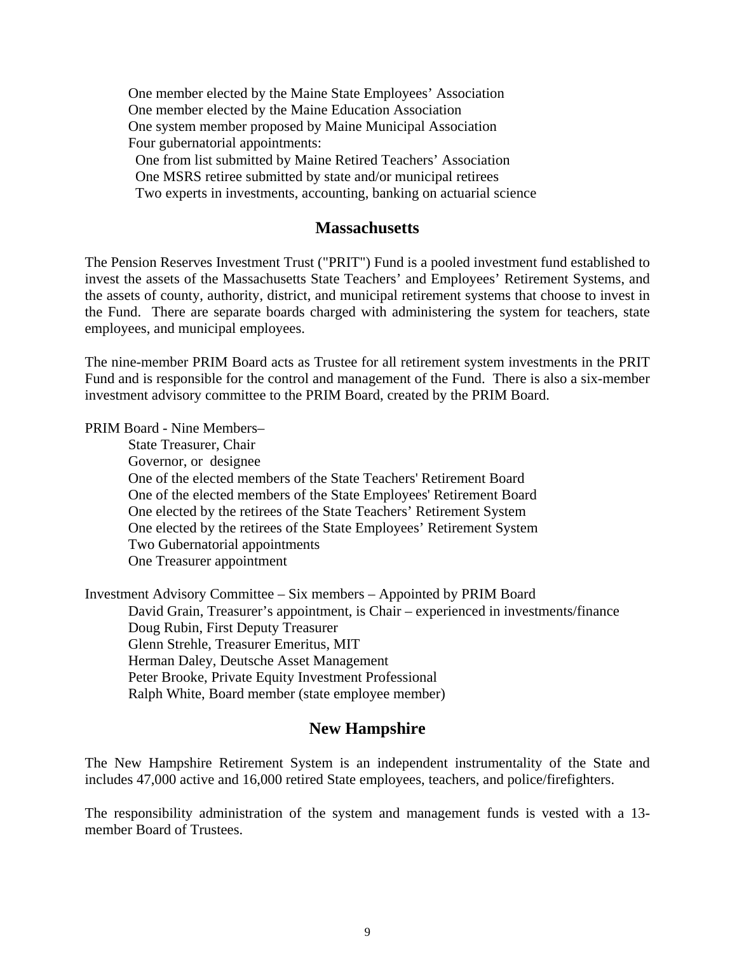One member elected by the Maine State Employees' Association One member elected by the Maine Education Association One system member proposed by Maine Municipal Association Four gubernatorial appointments: One from list submitted by Maine Retired Teachers' Association One MSRS retiree submitted by state and/or municipal retirees Two experts in investments, accounting, banking on actuarial science

#### **Massachusetts**

The Pension Reserves Investment Trust ("PRIT") Fund is a pooled investment fund established to invest the assets of the Massachusetts State Teachers' and Employees' Retirement Systems, and the assets of county, authority, district, and municipal retirement systems that choose to invest in the Fund. There are separate boards charged with administering the system for teachers, state employees, and municipal employees.

The nine-member PRIM Board acts as Trustee for all retirement system investments in the PRIT Fund and is responsible for the control and management of the Fund. There is also a six-member investment advisory committee to the PRIM Board, created by the PRIM Board.

PRIM Board - Nine Members–

State Treasurer, Chair Governor, or designee One of the elected members of the State Teachers' Retirement Board One of the elected members of the State Employees' Retirement Board One elected by the retirees of the State Teachers' Retirement System One elected by the retirees of the State Employees' Retirement System Two Gubernatorial appointments One Treasurer appointment

Investment Advisory Committee – Six members – Appointed by PRIM Board David Grain, Treasurer's appointment, is Chair – experienced in investments/finance Doug Rubin, First Deputy Treasurer Glenn Strehle, Treasurer Emeritus, MIT Herman Daley, Deutsche Asset Management Peter Brooke, Private Equity Investment Professional Ralph White, Board member (state employee member)

#### **New Hampshire**

The New Hampshire Retirement System is an independent instrumentality of the State and includes 47,000 active and 16,000 retired State employees, teachers, and police/firefighters.

The responsibility administration of the system and management funds is vested with a 13 member Board of Trustees.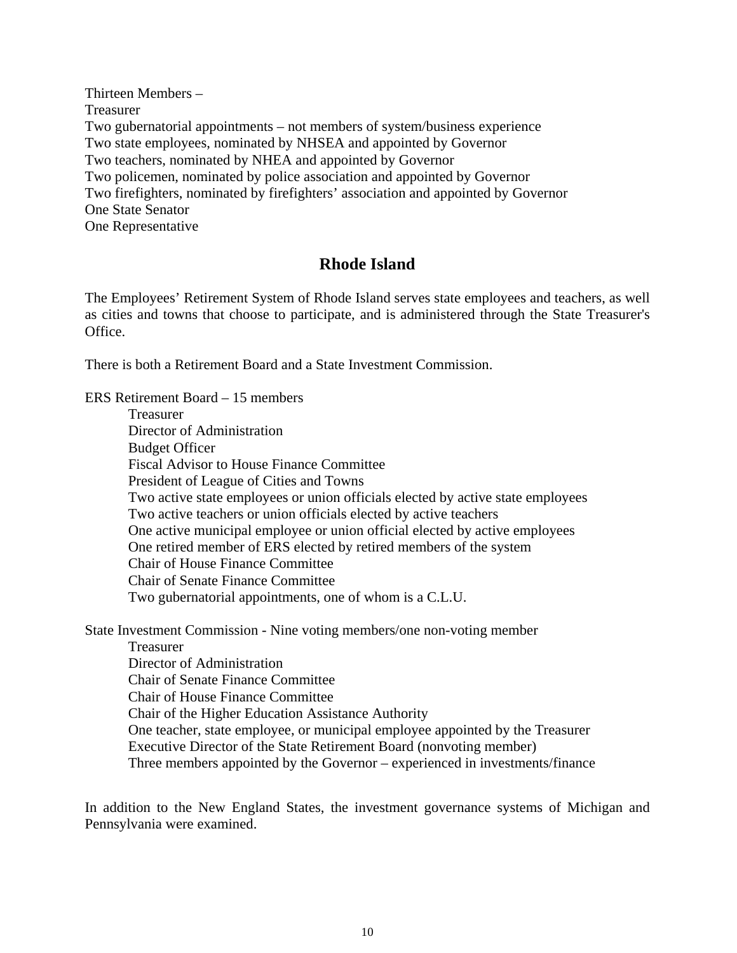Thirteen Members – Treasurer Two gubernatorial appointments – not members of system/business experience Two state employees, nominated by NHSEA and appointed by Governor Two teachers, nominated by NHEA and appointed by Governor Two policemen, nominated by police association and appointed by Governor Two firefighters, nominated by firefighters' association and appointed by Governor One State Senator One Representative

### **Rhode Island**

The Employees' Retirement System of Rhode Island serves state employees and teachers, as well as cities and towns that choose to participate, and is administered through the State Treasurer's Office.

There is both a Retirement Board and a State Investment Commission.

ERS Retirement Board – 15 members

 Treasurer Director of Administration Budget Officer Fiscal Advisor to House Finance Committee President of League of Cities and Towns Two active state employees or union officials elected by active state employees Two active teachers or union officials elected by active teachers One active municipal employee or union official elected by active employees One retired member of ERS elected by retired members of the system Chair of House Finance Committee Chair of Senate Finance Committee Two gubernatorial appointments, one of whom is a C.L.U.

State Investment Commission - Nine voting members/one non-voting member Treasurer Director of Administration Chair of Senate Finance Committee Chair of House Finance Committee Chair of the Higher Education Assistance Authority One teacher, state employee, or municipal employee appointed by the Treasurer Executive Director of the State Retirement Board (nonvoting member) Three members appointed by the Governor – experienced in investments/finance

In addition to the New England States, the investment governance systems of Michigan and Pennsylvania were examined.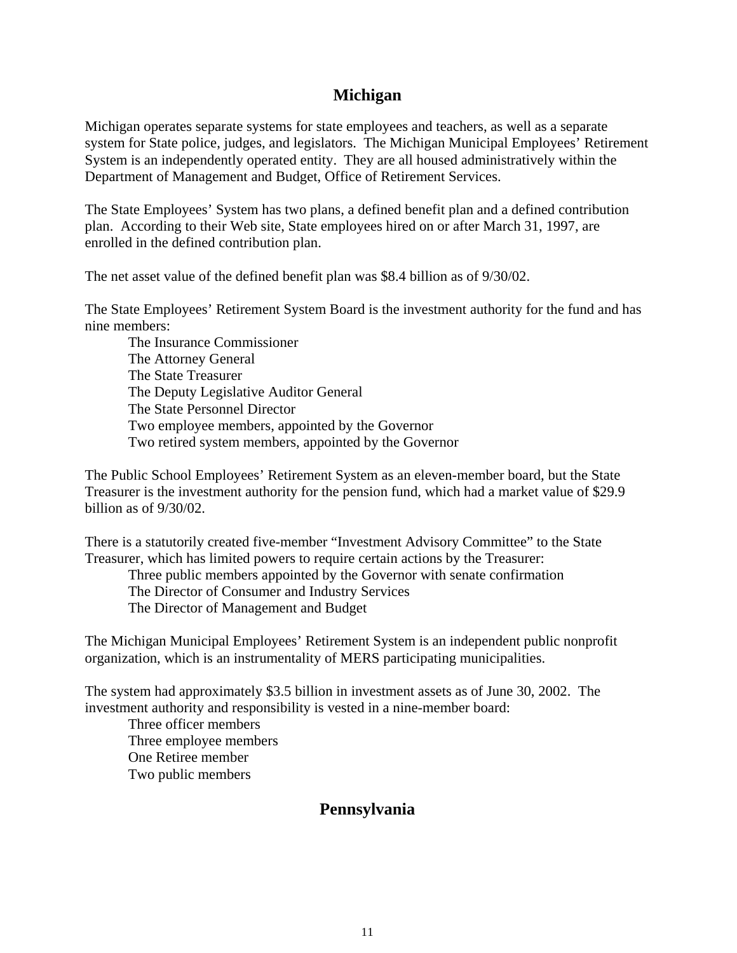### **Michigan**

Michigan operates separate systems for state employees and teachers, as well as a separate system for State police, judges, and legislators. The Michigan Municipal Employees' Retirement System is an independently operated entity. They are all housed administratively within the Department of Management and Budget, Office of Retirement Services.

The State Employees' System has two plans, a defined benefit plan and a defined contribution plan. According to their Web site, State employees hired on or after March 31, 1997, are enrolled in the defined contribution plan.

The net asset value of the defined benefit plan was \$8.4 billion as of 9/30/02.

The State Employees' Retirement System Board is the investment authority for the fund and has nine members:

 The Insurance Commissioner The Attorney General The State Treasurer The Deputy Legislative Auditor General The State Personnel Director Two employee members, appointed by the Governor Two retired system members, appointed by the Governor

The Public School Employees' Retirement System as an eleven-member board, but the State Treasurer is the investment authority for the pension fund, which had a market value of \$29.9 billion as of 9/30/02.

There is a statutorily created five-member "Investment Advisory Committee" to the State Treasurer, which has limited powers to require certain actions by the Treasurer:

 Three public members appointed by the Governor with senate confirmation The Director of Consumer and Industry Services The Director of Management and Budget

The Michigan Municipal Employees' Retirement System is an independent public nonprofit organization, which is an instrumentality of MERS participating municipalities.

The system had approximately \$3.5 billion in investment assets as of June 30, 2002. The investment authority and responsibility is vested in a nine-member board:

 Three officer members Three employee members One Retiree member Two public members

### **Pennsylvania**